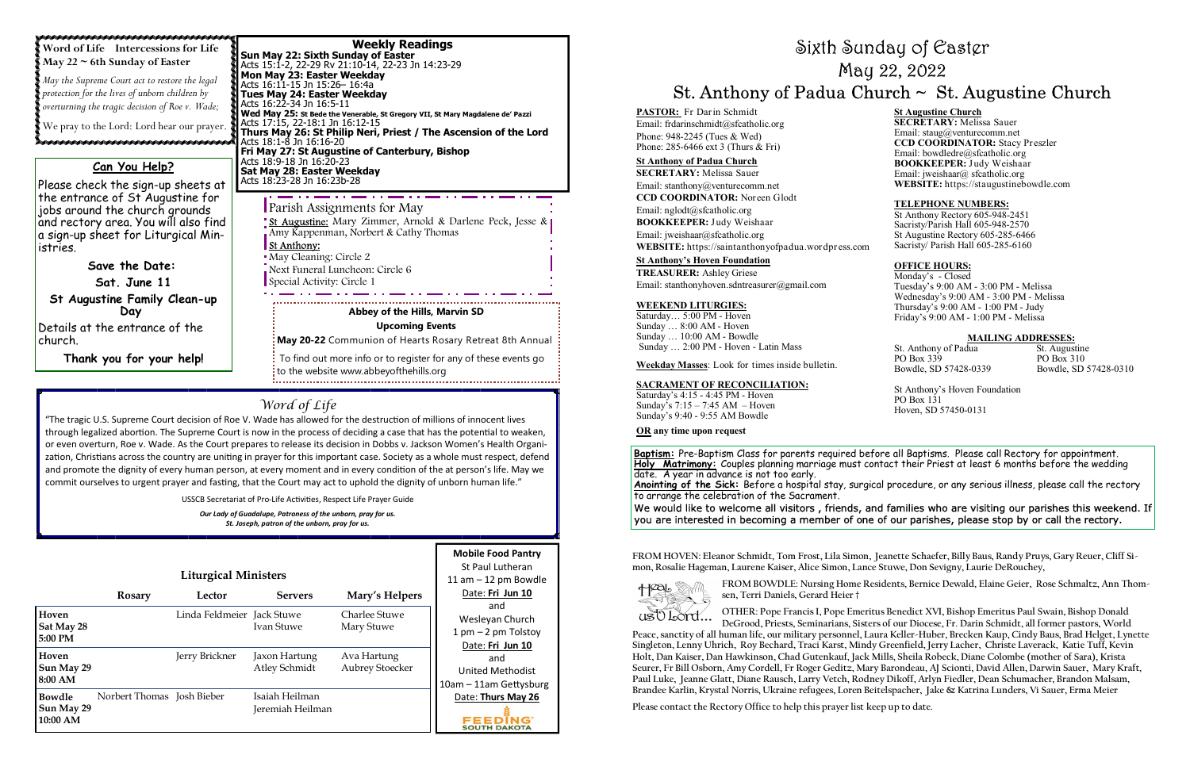**Baptism:** Pre-Baptism Class for parents required before all Baptisms. Please call Rectory for appointment. **Holy Matrimony:** Couples planning marriage must contact their Priest at least 6 months before the wedding<br>date. A year in advance is not too early. **Anointing of the Sick:** Before a hospital stay, surgical procedure, or any serious illness, please call the rectory to arrange the celebration of the Sacrament. We would like to welcome all visitors , friends, and families who are visiting our parishes this weekend. If **PARIOR**: Friendrich Channel and The Excellent Change<br>
The End End End End End and the End Content of the End Content of the Section of the Section of the Section of the Section of the Section of the Section of the Sectio

 **Wed May 25: St Bede the Venerable, St Gregory VII, St Mary Magdalene de' Pazzi**  Acts 17:15, 22-18:1 Jn 16:12-15 **Thurs May 26: St Philip Neri, Priest / The Ascension of the Lord** Acts 18:1-8 Jn 16:16-20 **Fri May 27: St Augustine of Canterbury, Bishop** Acts 18:9-18 Jn 16:20-23 **Sat May 28: Easter Weekday** Acts 18:23-28 Jn 16:23b-28

**Word of Life Intercessions for Life** 

**May 22 ~ 6th Sunday of Easter**  *May the Supreme Court act to restore the legal protection for the lives of unborn children by overturning the tragic decision of Roe v. Wade;* 

We pray to the Lord: Lord hear our prayer.

a sanad a shekarar a shekara a shekara ta shekara ta shekara ta shekara ta shekara ta shekara ta shekara ta sh Parish Assignments for May

St Augustine: Mary Zimmer, Arnold & Darlene Peck, Jesse & Amy Kappenman, Norbert & Cathy Thomas St Anthony:

# Word of Life

"The tragic U.S. Supreme Court decision of Roe V. Wade has allowed for the destruction of millions of innocent lives through legalized abortion. The Supreme Court is now in the process of deciding a case that has the potential to weaken, or even overturn, Roe v. Wade. As the Court prepares to release its decision in Dobbs v. Jackson Women's Health Organization, Christians across the country are uniting in prayer for this important case. Society as a whole must respect, defend and promote the dignity of every human person, at every moment and in every condition of the at person's life. May we commit ourselves to urgent prayer and fasting, that the Court may act to uphold the dignity of unborn human life."

USSCB Secretariat of Pro-Life Activities, Respect Life Prayer Guide

*Our Lady of Guadalupe, Patroness of the unborn, pray for us. St. Joseph, patron of the unborn, pray for us.* 

> **FROM HOVEN: Eleanor Schmidt, Tom Frost, Lila Simon, Jeanette Schaefer, Billy Baus, Randy Pruys, Gary Reuer, Cliff Simon, Rosalie Hageman, Laurene Kaiser, Alice Simon, Lance Stuwe, Don Sevigny, Laurie DeRouchey,**



|                                         |                            | <b>Liturgical Ministers</b> |                                    |                                | <b>Mobile Food Pantry</b><br>St Paul Lutheran<br>11 am $-$ 12 pm Bowdle |
|-----------------------------------------|----------------------------|-----------------------------|------------------------------------|--------------------------------|-------------------------------------------------------------------------|
|                                         | <b>Rosary</b>              | Lector                      | <b>Servers</b>                     | Mary's Helpers                 | Date: Fri Jun 10                                                        |
| Hoven<br>Sat May 28<br>$5:00$ PM        |                            | Linda Feldmeier Jack Stuwe  | Ivan Stuwe                         | Charlee Stuwe<br>Mary Stuwe    | and<br>Wesleyan Church<br>$1$ pm $-2$ pm Tolstoy<br>Date: Fri Jun 10    |
| Hoven<br>Sun May 29<br>8:00 AM          |                            | Jerry Brickner              | Jaxon Hartung<br>Atley Schmidt     | Ava Hartung<br>Aubrey Stoecker | and<br><b>United Methodist</b><br>10am - 11am Gettysburg                |
| <b>Bowdle</b><br>Sun May 29<br>10:00 AM | Norbert Thomas Josh Bieber |                             | Isaiah Heilman<br>Jeremiah Heilman |                                | Date: Thurs May 26<br>SOUTH DAKOTA                                      |

# Sixth Sunday of Easter May 22, 2022 Weekly Readings<br>
Acts 15:1-2, 22-23 Rxth Sunday of Easter<br>
May 22: Sixth Sunday of Easter<br>
May 22, 2022<br>
May 22, 2022<br>
May 22, 2022<br>
May 22, 2022<br>
May 22, 2022<br>
May 22, 2022<br>
May 22, 2022<br>
May 22, 2022<br>
May 22, 2022<br>
May 2

**FROM BOWDLE: Nursing Home Residents, Bernice Dewald, Elaine Geier, Rose Schmaltz, Ann Thom-**

**sen, Terri Daniels, Gerard Heier †** 

**DeGrood, Priests, Seminarians, Sisters of our Diocese, Fr. Darin Schmidt, all former pastors, World** 

**OTHER: Pope Francis I, Pope Emeritus Benedict XVI, Bishop Emeritus Paul Swain, Bishop Donald**  us O Lord... **Peace, sanctity of all human life, our military personnel, Laura Keller-Huber, Brecken Kaup, Cindy Baus, Brad Helget, Lynette Singleton, Lenny Uhrich, Roy Bechard, Traci Karst, Mindy Greenfield, Jerry Lacher, Christe Laverack, Katie Tuff, Kevin Holt, Dan Kaiser, Dan Hawkinson, Chad Gutenkauf, Jack Mills, Sheila Robeck, Diane Colombe (mother of Sara), Krista Seurer, Fr Bill Osborn, Amy Cordell, Fr Roger Geditz, Mary Barondeau, AJ Scionti, David Allen, Darwin Sauer, Mary Kraft, Paul Luke, Jeanne Glatt, Diane Rausch, Larry Vetch, Rodney Dikoff, Arlyn Fiedler, Dean Schumacher, Brandon Malsam, Brandee Karlin, Krystal Norris, Ukraine refugees, Loren Beitelspacher, Jake & Katrina Lunders, Vi Sauer, Erma Meier** 

**Please contact the Rectory Office to help this prayer list keep up to date.** 

May Cleaning: Circle 2

Next Funeral Luncheon: Circle 6 Special Activity: Circle 1

### **Abbey of the Hills, Marvin SD**

**Upcoming Events** 

**May 20-22** Communion of Hearts Rosary Retreat 8th Annual

 To find out more info or to register for any of these events go to the website www.abbeyofthehills.org 

# **Can You Help?**

Please check the sign-up sheets at the entrance of St Augustine for jobs around the church grounds and rectory area. You will also find a sign-up sheet for Liturgical Ministries.

**Save the Date:Sat. June 11 St Augustine Family Clean-up Day**  Details at the entrance of the church.

**Thank you for your help!**